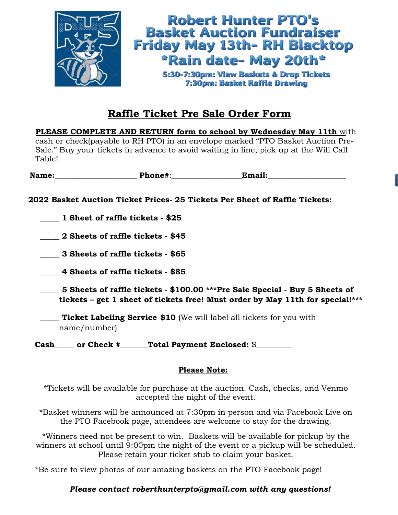

## **Raffle Ticket Pre Sale Order Form**

**PLEASE COMPLETE AND RETURN form to school by Wednesday May 11th** with cash or check(payable to RH PTO) in an envelope marked "PTO Basket Auction Pre-Sale." Buy your tickets in advance to avoid waiting in line, pick up at the Will Call Table!

Name: Thone#: Thone **Phone 2011** 

**2022 Basket Auction Ticket Prices- 25 Tickets Per Sheet of Raffle Tickets:**

\_\_\_\_\_ **1 Sheet of raffle tickets - \$25**

\_\_\_\_\_ **2 Sheets of raffle tickets - \$45**

\_\_\_\_\_ **3 Sheets of raffle tickets - \$65**

\_\_\_\_\_ **4 Sheets of raffle tickets - \$85**

\_\_\_\_\_ **5 Sheets of raffle tickets - \$100.00 \*\*\*Pre Sale Special - Buy 5 Sheets of tickets – get 1 sheet of tickets free! Must order by May 11th for special!\*\*\***

\_\_\_\_\_ **Ticket Labeling Service**-**\$10** (We will label all tickets for you with name/number)

Cash or Check # Total Payment Enclosed: \$

## **Please Note:**

\*Tickets will be available for purchase at the auction. Cash, checks, and Venmo accepted the night of the event.

\*Basket winners will be announced at 7:30pm in person and via Facebook Live on the PTO Facebook page, attendees are welcome to stay for the drawing.

\*Winners need not be present to win. Baskets will be available for pickup by the winners at school until 9:00pm the night of the event or a pickup will be scheduled. Please retain your ticket stub to claim your basket.

\*Be sure to view photos of our amazing baskets on the PTO Facebook page!

## *Please contact roberthunterpto@gmail.com with any questions!*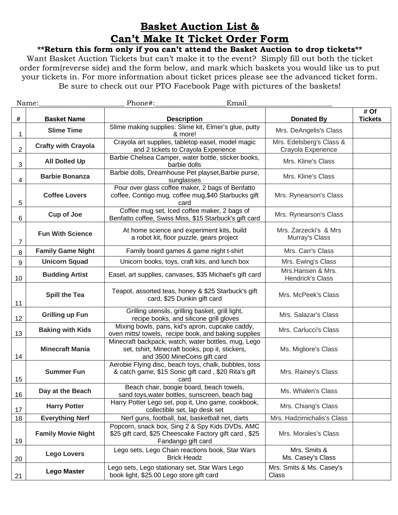## **Basket Auction List & Can't Make It Ticket Order Form**

**\*\*Return this form only if you can't attend the Basket Auction to drop tickets\*\***

Want Basket Auction Tickets but can't make it to the event? Simply fill out both the ticket order form(reverse side) and the form below, and mark which baskets you would like us to put your tickets in. For more information about ticket prices please see the advanced ticket form. Be sure to check out our PTO Facebook Page with pictures of the baskets!

| Name:            |                            | Email<br>Phone#:                                                                                                                       |                                                |                        |
|------------------|----------------------------|----------------------------------------------------------------------------------------------------------------------------------------|------------------------------------------------|------------------------|
| #                | <b>Basket Name</b>         | <b>Description</b>                                                                                                                     | <b>Donated By</b>                              | # Of<br><b>Tickets</b> |
| 1                | <b>Slime Time</b>          | Slime making supplies: Slime kit, Elmer's glue, putty<br>& more!                                                                       | Mrs. DeAngelis's Class                         |                        |
| $\boldsymbol{2}$ | <b>Crafty with Crayola</b> | Crayola art supplies, tabletop easel, model magic<br>and 2 tickets to Crayola Experience                                               | Mrs. Edelsberg's Class &<br>Crayola Experience |                        |
| $\mathbf{3}$     | <b>All Dolled Up</b>       | Barbie Chelsea Camper, water bottle, sticker books,<br>barbie dolls                                                                    | Mrs. Kline's Class                             |                        |
| 4                | <b>Barbie Bonanza</b>      | Barbie dolls, Dreamhouse Pet playset, Barbie purse,<br>sunglasses                                                                      | Mrs. Kline's Class                             |                        |
| 5                | <b>Coffee Lovers</b>       | Pour over glass coffee maker, 2 bags of Benfatto<br>coffee, Contigo mug, coffee mug, \$40 Starbucks gift<br>card                       | Mrs. Rynearson's Class                         |                        |
| 6                | <b>Cup of Joe</b>          | Coffee mug set, Iced coffee maker, 2 bags of<br>Benfatto coffee, Swiss Miss, \$15 Starbuck's gift card                                 | Mrs. Rynearson's Class                         |                        |
| 7                | <b>Fun With Science</b>    | At home science and experiment kits, build<br>a robot kit, floor puzzle, gears project                                                 | Mrs. Zarzecki's & Mrs<br>Murray's Class        |                        |
| 8                | <b>Family Game Night</b>   | Family board games & game night t-shirt                                                                                                | Mrs. Carr's Class                              |                        |
| 9                | <b>Unicorn Squad</b>       | Unicorn books, toys, craft kits, and lunch box                                                                                         | Mrs. Ewing's Class                             |                        |
| 10               | <b>Budding Artist</b>      | Easel, art supplies, canvases, \$35 Michael's gift card                                                                                | Mrs.Hansen & Mrs.<br>Hendrick's Class          |                        |
| 11               | <b>Spill the Tea</b>       | Teapot, assorted teas, honey & \$25 Starbuck's gift<br>card, \$25 Dunkin gift card                                                     | Mrs. McPeek's Class                            |                        |
| 12               | <b>Grilling up Fun</b>     | Grilling utensils, grilling basket, grill light,<br>recipe books, and silicone grill gloves                                            | Mrs. Salazar's Class                           |                        |
| 13               | <b>Baking with Kids</b>    | Mixing bowls, pans, kid's apron, cupcake caddy,<br>oven mitts/ towels, recipe book, and baking supplies                                | Mrs. Carlucci's Class                          |                        |
| 14               | <b>Minecraft Mania</b>     | Minecraft backpack, watch, water bottles, mug, Lego<br>set, tshirt, Minecraft books, pop it, stickers,<br>and 3500 MineCoins gift card | Ms. Migliore's Class                           |                        |
| 15               | <b>Summer Fun</b>          | Aerobie Flying disc, beach toys, chalk, bubbles, toss<br>& catch game, \$15 Sonic gift card, \$20 Rita's gift<br>card                  | Mrs. Rainey's Class                            |                        |
| 16               | Day at the Beach           | Beach chair, boogie board, beach towels,<br>sand toys, water bottles, sunscreen, beach bag                                             | Ms. Whalen's Class                             |                        |
| 17               | <b>Harry Potter</b>        | Harry Potter Lego set, pop it, Uno game, cookbook,<br>collectible set, lap desk set                                                    | Mrs. Chiang's Class                            |                        |
| 18               | <b>Everything Nerf</b>     | Nerf guns, football, bat, basketball net, darts                                                                                        | Mrs. Hadzimichalis's Class                     |                        |
| 19               | <b>Family Movie Night</b>  | Popcorn, snack box, Sing 2 & Spy Kids DVDs, AMC<br>\$25 gift card, \$25 Cheescake Factory gift card, \$25<br>Fandango gift card        | Mrs. Morales's Class                           |                        |
| 20               | <b>Lego Lovers</b>         | Lego sets, Lego Chain reactions book, Star Wars<br><b>Brick Headz</b>                                                                  | Mrs. Smits &<br>Ms. Casey's Class              |                        |
| 21               | <b>Lego Master</b>         | Lego sets, Lego stationary set, Star Wars Lego<br>book light, \$25.00 Lego store gift card                                             | Mrs. Smits & Ms. Casey's<br><b>Class</b>       |                        |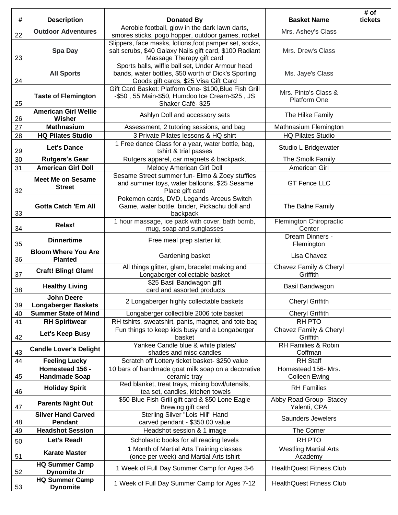| #  | <b>Description</b>                              | <b>Donated By</b>                                                                                           | <b>Basket Name</b>                      | # of<br>tickets |
|----|-------------------------------------------------|-------------------------------------------------------------------------------------------------------------|-----------------------------------------|-----------------|
|    | <b>Outdoor Adventures</b>                       | Aerobie football, glow in the dark lawn darts,                                                              | Mrs. Ashey's Class                      |                 |
| 22 |                                                 | smores sticks, pogo hopper, outdoor games, rocket<br>Slippers, face masks, lotions, foot pamper set, socks, |                                         |                 |
| 23 | <b>Spa Day</b>                                  | salt scrubs, \$40 Galaxy Nails gift card, \$100 Radiant<br>Massage Therapy gift card                        | Mrs. Drew's Class                       |                 |
|    | <b>All Sports</b>                               | Sports balls, wiffle ball set, Under Armour head<br>bands, water bottles, \$50 worth of Dick's Sporting     | Ms. Jaye's Class                        |                 |
| 24 |                                                 | Goods gift cards, \$25 Visa Gift Card                                                                       |                                         |                 |
|    | <b>Taste of Flemington</b>                      | Gift Card Basket: Platform One- \$100, Blue Fish Grill<br>-\$50, 55 Main-\$50, Humdoo Ice Cream-\$25, JS    | Mrs. Pinto's Class &                    |                 |
| 25 |                                                 | Shaker Café-\$25                                                                                            | <b>Platform One</b>                     |                 |
| 26 | <b>American Girl Wellie</b><br>Wisher           | Ashlyn Doll and accessory sets                                                                              | The Hilke Family                        |                 |
| 27 | <b>Mathnasium</b>                               | Assessment, 2 tutoring sessions, and bag                                                                    | Mathnasium Flemington                   |                 |
| 28 | <b>HQ Pilates Studio</b>                        | 3 Private Pilates lessons & HQ shirt                                                                        | <b>HQ Pilates Studio</b>                |                 |
| 29 | <b>Let's Dance</b>                              | 1 Free dance Class for a year, water bottle, bag,<br>tshirt & trial passes                                  | Studio L Bridgewater                    |                 |
| 30 | <b>Rutgers's Gear</b>                           | Rutgers apparel, car magnets & backpack,                                                                    | The Smolk Family                        |                 |
| 31 | <b>American Girl Doll</b>                       | Melody American Girl Doll<br>Sesame Street summer fun- Elmo & Zoey stuffies                                 | American Girl                           |                 |
| 32 | <b>Meet Me on Sesame</b><br><b>Street</b>       | and summer toys, water balloons, \$25 Sesame<br>Place gift card                                             | <b>GT Fence LLC</b>                     |                 |
| 33 | <b>Gotta Catch 'Em All</b>                      | Pokemon cards, DVD, Legands Arceus Switch<br>Game, water bottle, binder, Pickachu doll and<br>backpack      | The Balne Family                        |                 |
| 34 | Relax!                                          | 1 hour massage, ice pack with cover, bath bomb,<br>mug, soap and sunglasses                                 | Flemington Chiropractic<br>Center       |                 |
| 35 | <b>Dinnertime</b>                               | Free meal prep starter kit                                                                                  | Dream Dinners -<br>Flemington           |                 |
| 36 | <b>Bloom Where You Are</b><br><b>Planted</b>    | Gardening basket                                                                                            | Lisa Chavez                             |                 |
| 37 | <b>Craft! Bling! Glam!</b>                      | All things glitter, glam, bracelet making and<br>Longaberger collectable basket                             | Chavez Family & Cheryl<br>Griffith      |                 |
| 38 | <b>Healthy Living</b>                           | \$25 Basil Bandwagon gift<br>card and assorted products                                                     | Basil Bandwagon                         |                 |
| 39 | <b>John Deere</b><br><b>Longaberger Baskets</b> | 2 Longaberger highly collectable baskets                                                                    | Cheryl Griffith                         |                 |
| 40 | <b>Summer State of Mind</b>                     | Longaberger collectible 2006 tote basket                                                                    | <b>Cheryl Griffith</b>                  |                 |
| 41 | <b>RH Spiritwear</b>                            | RH tshirts, sweatshirt, pants, magnet, and tote bag                                                         | <b>RH PTO</b>                           |                 |
| 42 | Let's Keep Busy                                 | Fun things to keep kids busy and a Longaberger<br>basket                                                    | Chavez Family & Cheryl<br>Griffith      |                 |
| 43 | <b>Candle Lover's Delight</b>                   | Yankee Candle blue & white plates/<br>shades and misc candles                                               | RH Families & Robin<br>Coffman          |                 |
| 44 | <b>Feeling Lucky</b>                            | Scratch off Lottery ticket basket- \$250 value                                                              | <b>RH Staff</b>                         |                 |
|    | Homestead 156 -                                 | 10 bars of handmade goat milk soap on a decorative                                                          | Homestead 156- Mrs.                     |                 |
| 45 | <b>Handmade Soap</b>                            | ceramic tray<br>Red blanket, treat trays, mixing bowl/utensils,                                             | Colleen Ewing                           |                 |
| 46 | <b>Holiday Spirit</b>                           | tea set, candles, kitchen towels                                                                            | <b>RH</b> Families                      |                 |
| 47 | <b>Parents Night Out</b>                        | \$50 Blue Fish Grill gift card & \$50 Lone Eagle<br>Brewing gift card                                       | Abby Road Group- Stacey<br>Yalenti, CPA |                 |
| 48 | <b>Silver Hand Carved</b><br>Pendant            | Sterling Silver "Lois Hill" Hand<br>carved pendant - \$350.00 value                                         | Saunders Jewelers                       |                 |
| 49 | <b>Headshot Session</b>                         | Headshot session & 1 image                                                                                  | The Corner                              |                 |
| 50 | Let's Read!                                     | Scholastic books for all reading levels                                                                     | <b>RH PTO</b>                           |                 |
| 51 | <b>Karate Master</b>                            | 1 Month of Martial Arts Training classes<br>(once per week) and Martial Arts tshirt                         | <b>Westling Martial Arts</b><br>Academy |                 |
| 52 | <b>HQ Summer Camp</b><br>Dynomite Jr            | 1 Week of Full Day Summer Camp for Ages 3-6                                                                 | <b>HealthQuest Fitness Club</b>         |                 |
| 53 | <b>HQ Summer Camp</b><br><b>Dynomite</b>        | 1 Week of Full Day Summer Camp for Ages 7-12                                                                | <b>HealthQuest Fitness Club</b>         |                 |